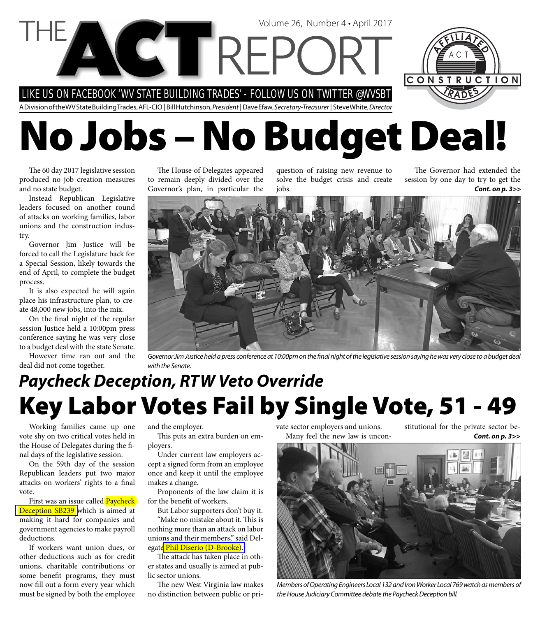LIKE US ON FACEBOOK 'WV STATE BUILDING TRADES' - FOLLOW US ON TWITTER @WVSBT

A Division of the WV State Building Trades, AFL-CIO | Bill Hutchinson, President | Dave Efaw, Secretary-Treasurer | Steve White, Director

Volume 26, Number 4 • April 2017

# **No Jobs – No Budget Deal!**

The 60 day 2017 legislative session produced no job creation measures and no state budget.

Instead Republican Legislative leaders focused on another round of attacks on working families, labor unions and the construction industry.

Governor Jim Justice will be forced to call the Legislature back for a Special Session, likely towards the end of April, to complete the budget process.

It is also expected he will again place his infrastructure plan, to create 48,000 new jobs, into the mix.

On the final night of the regular session Justice held a 10:00pm press conference saying he was very close to a budget deal with the state Senate.

However time ran out and the deal did not come together.

The House of Delegates appeared to remain deeply divided over the Governor's plan, in particular the

question of raising new revenue to solve the budget crisis and create jobs.

*Cont. on p. 3>>* The Governor had extended the session by one day to try to get the

CONSTRUCTION



Governor Jim Justice held a press conference at 10:00pm on the final night of the legislative session saying he was very close to a budget deal with the Senate.

### **Key Labor Votes Fail by Single Vote, 51 - 49** *Paycheck Deception, RTW Veto Override*

Working families came up one vote shy on two critical votes held in the House of Delegates during the final days of the legislative session.

On the 59th day of the session Republican leaders put two major attacks on workers' rights to a final vote.

First was an issue called **Paycheck** [Deception SB239 w](http://www.legis.state.wv.us/Bill_Status/bills_text.cfm?billdoc=SB239%20SUB1%20enr.htm&yr=2017&sesstype=RS&i=239)hich is aimed at making it hard for companies and government agencies to make payroll deductions.

If workers want union dues, or other deductions such as for credit unions, charitable contributions or some benefit programs, they must now fill out a form every year which must be signed by both the employee

and the employer.

This puts an extra burden on employers.

Under current law employers accept a signed form from an employee once and keep it until the employee makes a change.

Proponents of the law claim it is for the benefit of workers.

But Labor supporters don't buy it. "Make no mistake about it. This is nothing more than an attack on labor unions and their members," said Delegat[e Phil Diserio \(D-Brooke\).](http://www.legis.state.wv.us/House/lawmaker.cfm) 

The attack has taken place in other states and usually is aimed at public sector unions.

The new West Virginia law makes no distinction between public or private sector employers and unions. Many feel the new law is unconstitutional for the private sector be-*Cont. on p. 3>>*



Members of Operating Engineers Local 132 and Iron Worker Local 769 watch as members of the House Judiciary Committee debate the Paycheck Deception bill.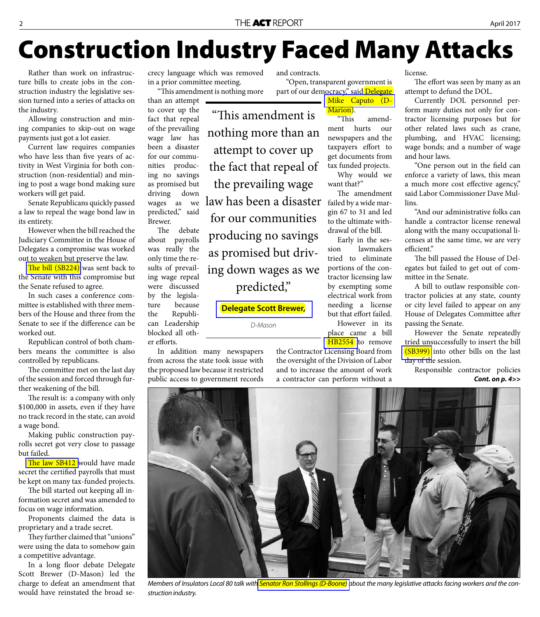## **Construction Industry Faced Many Attacks**

Rather than work on infrastructure bills to create jobs in the construction industry the legislative session turned into a series of attacks on the industry.

Allowing construction and mining companies to skip-out on wage payments just got a lot easier.

Current law requires companies who have less than five years of activity in West Virginia for both construction (non-residential) and mining to post a wage bond making sure workers will get paid.

Senate Republicans quickly passed a law to repeal the wage bond law in its entirety.

However when the bill reached the Judiciary Committee in the House of Delegates a compromise was worked out to weaken but preserve the law.

The bill (SB224) was sent back to the Senate with this compromise but the Senate refused to agree.

In such cases a conference committee is established with three members of the House and three from the Senate to see if the difference can be worked out.

Republican control of both chambers means the committee is also controlled by republicans.

The committee met on the last day of the session and forced through further weakening of the bill.

The result is: a company with only \$100,000 in assets, even if they have no track record in the state, can avoid a wage bond.

Making public construction payrolls secret got very close to passage but failed.

The law SB412 would have made secret the certified payrolls that must be kept on many tax-funded projects.

The bill started out keeping all information secret and was amended to focus on wage information.

Proponents claimed the data is proprietary and a trade secret.

They further claimed that "unions" were using the data to somehow gain a competitive advantage.

In a long floor debate Delegate Scott Brewer (D-Mason) led the charge to defeat an amendment that would have reinstated the broad secrecy language which was removed in a prior committee meeting.

"This amendment is nothing more than an attempt

to cover up the fact that repeal of the prevailing wage law has been a disaster for our communities producing no savings as promised but driving down wages as we predicted," said Brewer. "This amendment is nothing more than an attempt to cover up the fact that repeal of the prevailing wage

The debate about payrolls was really the only time the results of prevailing wage repeal were discussed by the legislature because the Republican Leadership blocked all other efforts.

In addition many newspapers from across the state took issue with the proposed law because it restricted public access to government records

and contracts.

"Open, transparent government is part of our democracy," said Delegate

> [Mike Caputo \(D-](http://www.legis.state.wv.us/House/lawmaker.cfm?member=Delegate%20Caputo)Marion).<br>This

amendment hurts our newspapers and the taxpayers effort to get documents from tax funded projects.

Why would we want that?"

The amendment law has been a disaster failed by a wide margin 67 to 31 and led to the ultimate withdrawal of the bill.

Early in the session lawmakers tried to eliminate portions of the contractor licensing law by exempting some electrical work from needing a license but that effort failed. However in its

place came a bill **HB2554** to remove

the Contractor Licensing Board from the oversight of the Division of Labor and to increase the amount of work a contractor can perform without a

license.

The effort was seen by many as an attempt to defund the DOL.

Currently DOL personnel perform many duties not only for contractor licensing purposes but for other related laws such as crane, plumbing, and HVAC licensing; wage bonds; and a number of wage and hour laws.

"One person out in the field can enforce a variety of laws, this mean a much more cost effective agency," said Labor Commissioner Dave Mullins.

"And our administrative folks can handle a contractor license renewal along with the many occupational licenses at the same time, we are very efficient."

The bill passed the House of Delegates but failed to get out of committee in the Senate.

A bill to outlaw responsible contractor policies at any state, county or city level failed to appear on any House of Delegates Committee after passing the Senate.

However the Senate repeatedly tried unsuccessfully to insert the bill [\(SB399\)](http://www.legis.state.wv.us/Bill_Status/bills_text.cfm?billdoc=SB399%20SUB2%20ENG.htm&yr=2017&sesstype=RS&i=399) into other bills on the last day of the session.

Responsible contractor policies *Cont. on p. 4>>*



Members of Insulators Local 80 talk wit[h Senator Ron Stollings \(D-Boone\) a](http://www.legis.state.wv.us/Senate1/lawmaker.cfm?member=Senator%20Stollings)bout the many legislative attacks facing workers and the construction industry.

for our communities producing no savings as promised but driving down wages as we predicted,"

D-Mason

**[Delegate Scott Brewer,](http://www.legis.state.wv.us/House/lawmaker.cfm?member=Delegate%20Brewer)**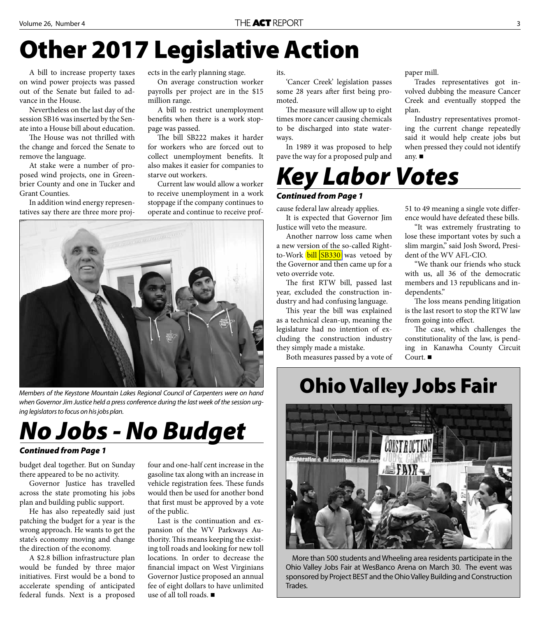## **Other 2017 Legislative Action**

A bill to increase property taxes on wind power projects was passed out of the Senate but failed to advance in the House.

Nevertheless on the last day of the session SB16 was inserted by the Senate into a House bill about education.

The House was not thrilled with the change and forced the Senate to remove the language.

At stake were a number of proposed wind projects, one in Greenbrier County and one in Tucker and Grant Counties.

In addition wind energy representatives say there are three more projects in the early planning stage.

On average construction worker payrolls per project are in the \$15 million range.

A bill to restrict unemployment benefits when there is a work stoppage was passed.

The bill SB222 makes it harder for workers who are forced out to collect unemployment benefits. It also makes it easier for companies to starve out workers.

Current law would allow a worker to receive unemployment in a work stoppage if the company continues to operate and continue to receive prof-



Members of the Keystone Mountain Lakes Regional Council of Carpenters were on hand when Governor Jim Justice held a press conference during the last week of the session urging legislators to focus on his jobs plan.



#### *Continued from Page 1*

budget deal together. But on Sunday there appeared to be no activity.

Governor Justice has travelled across the state promoting his jobs plan and building public support.

He has also repeatedly said just patching the budget for a year is the wrong approach. He wants to get the state's economy moving and change the direction of the economy.

A \$2.8 billion infrastructure plan would be funded by three major initiatives. First would be a bond to accelerate spending of anticipated federal funds. Next is a proposed

four and one-half cent increase in the gasoline tax along with an increase in vehicle registration fees. These funds would then be used for another bond that first must be approved by a vote of the public.

Last is the continuation and expansion of the WV Parkways Authority. This means keeping the existing toll roads and looking for new toll locations. In order to decrease the financial impact on West Virginians Governor Justice proposed an annual fee of eight dollars to have unlimited use of all toll roads.

its.

'Cancer Creek' legislation passes some 28 years after first being promoted.

The measure will allow up to eight times more cancer causing chemicals to be discharged into state waterways.

In 1989 it was proposed to help pave the way for a proposed pulp and



#### *Continued from Page 1*

cause federal law already applies.

It is expected that Governor Jim Justice will veto the measure.

Another narrow loss came when a new version of the so-called Rightto-Work **bill SB330** was vetoed by the Governor and then came up for a veto override vote.

The first RTW bill, passed last year, excluded the construction industry and had confusing language.

This year the bill was explained as a technical clean-up, meaning the legislature had no intention of excluding the construction industry they simply made a mistake.

Both measures passed by a vote of

paper mill.

Trades representatives got involved dubbing the measure Cancer Creek and eventually stopped the plan.

Industry representatives promoting the current change repeatedly said it would help create jobs but when pressed they could not identify any.

51 to 49 meaning a single vote difference would have defeated these bills.

"It was extremely frustrating to lose these important votes by such a slim margin," said Josh Sword, President of the WV AFL-CIO.

"We thank our friends who stuck with us, all 36 of the democratic members and 13 republicans and independents."

The loss means pending litigation is the last resort to stop the RTW law from going into effect.

The case, which challenges the constitutionality of the law, is pending in Kanawha County Circuit Court. ■

### **Ohio Valley Jobs Fair**



More than 500 students and Wheeling area residents participate in the Ohio Valley Jobs Fair at WesBanco Arena on March 30. The event was sponsored by Project BEST and the Ohio Valley Building and Construction Trades.